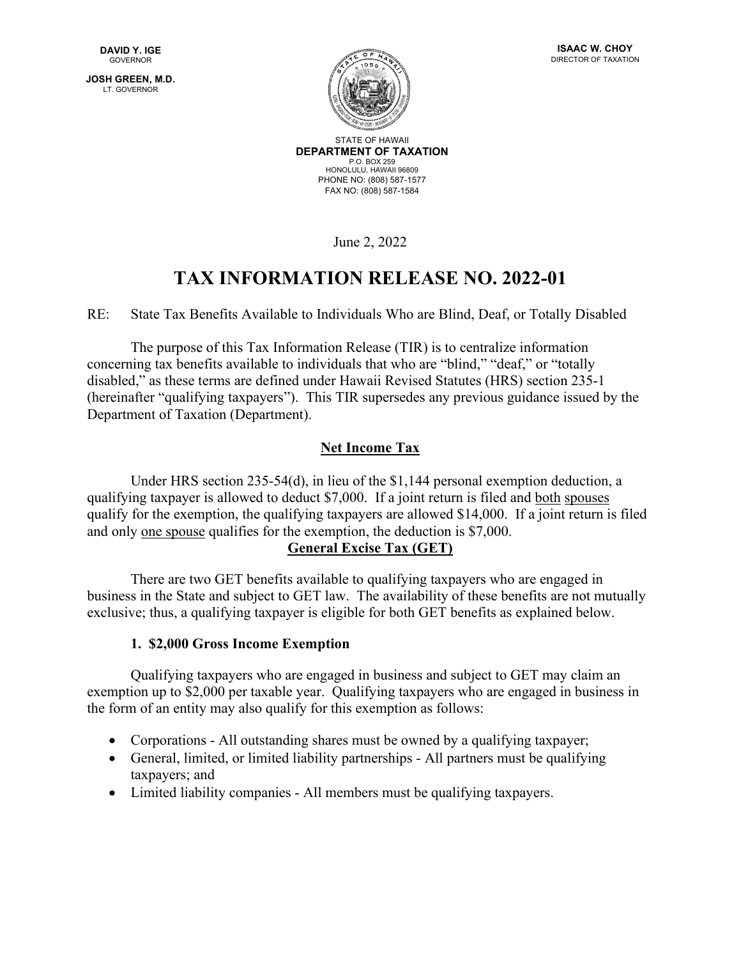**JOSH GREEN, M.D.** LT. GOVERNOR





STATE OF HAWAII **DEPARTMENT OF TAXATION** P.O. BOX 259 HONOLULU, HAWAII 96809 PHONE NO: (808) 587-1577 FAX NO: (808) 587-1584

June 2, 2022

# **TAX INFORMATION RELEASE NO. 2022-01**

RE: State Tax Benefits Available to Individuals Who are Blind, Deaf, or Totally Disabled

 The purpose of this Tax Information Release (TIR) is to centralize information concerning tax benefits available to individuals that who are "blind," "deaf," or "totally disabled," as these terms are defined under Hawaii Revised Statutes (HRS) section 235-1 (hereinafter "qualifying taxpayers"). This TIR supersedes any previous guidance issued by the Department of Taxation (Department).

# **Net Income Tax**

Under HRS section 235-54(d), in lieu of the \$1,144 personal exemption deduction, a qualifying taxpayer is allowed to deduct \$7,000. If a joint return is filed and both spouses qualify for the exemption, the qualifying taxpayers are allowed \$14,000. If a joint return is filed and only one spouse qualifies for the exemption, the deduction is \$7,000.

# **General Excise Tax (GET)**

There are two GET benefits available to qualifying taxpayers who are engaged in business in the State and subject to GET law. The availability of these benefits are not mutually exclusive; thus, a qualifying taxpayer is eligible for both GET benefits as explained below.

## **1. \$2,000 Gross Income Exemption**

 Qualifying taxpayers who are engaged in business and subject to GET may claim an exemption up to \$2,000 per taxable year. Qualifying taxpayers who are engaged in business in the form of an entity may also qualify for this exemption as follows:

- Corporations All outstanding shares must be owned by a qualifying taxpayer;
- General, limited, or limited liability partnerships All partners must be qualifying taxpayers; and
- Limited liability companies All members must be qualifying taxpayers.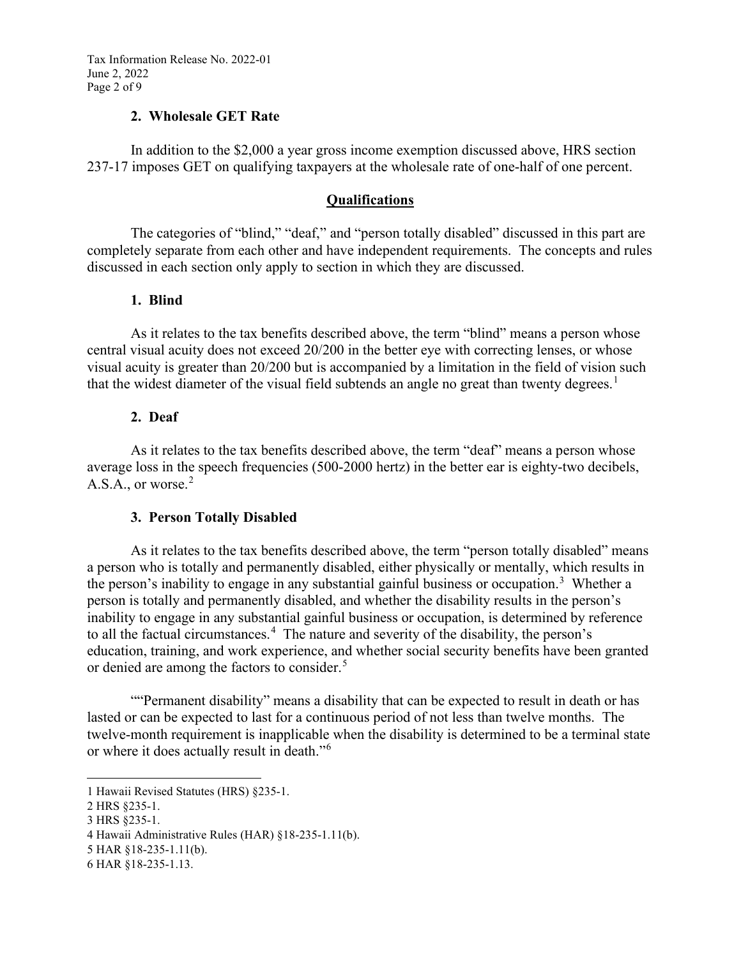Tax Information Release No. 2022-01 June 2, 2022 Page 2 of 9

#### **2. Wholesale GET Rate**

In addition to the \$2,000 a year gross income exemption discussed above, HRS section 237-17 imposes GET on qualifying taxpayers at the wholesale rate of one-half of one percent.

#### **Qualifications**

The categories of "blind," "deaf," and "person totally disabled" discussed in this part are completely separate from each other and have independent requirements. The concepts and rules discussed in each section only apply to section in which they are discussed.

## **1. Blind**

As it relates to the tax benefits described above, the term "blind" means a person whose central visual acuity does not exceed 20/200 in the better eye with correcting lenses, or whose visual acuity is greater than 20/200 but is accompanied by a limitation in the field of vision such that the widest diameter of the visual field subtends an angle no great than twenty degrees.<sup>[1](#page-1-0)</sup>

## **2. Deaf**

As it relates to the tax benefits described above, the term "deaf" means a person whose average loss in the speech frequencies (500-2000 hertz) in the better ear is eighty-two decibels, A.S.A., or worse. $2$ 

## **3. Person Totally Disabled**

As it relates to the tax benefits described above, the term "person totally disabled" means a person who is totally and permanently disabled, either physically or mentally, which results in the person's inability to engage in any substantial gainful business or occupation.<sup>[3](#page-1-2)</sup> Whether a person is totally and permanently disabled, and whether the disability results in the person's inability to engage in any substantial gainful business or occupation, is determined by reference to all the factual circumstances.<sup>[4](#page-1-3)</sup> The nature and severity of the disability, the person's education, training, and work experience, and whether social security benefits have been granted or denied are among the factors to consider.<sup>[5](#page-1-4)</sup>

 ""Permanent disability" means a disability that can be expected to result in death or has lasted or can be expected to last for a continuous period of not less than twelve months. The twelve-month requirement is inapplicable when the disability is determined to be a terminal state or where it does actually result in death."[6](#page-1-5) 

<span id="page-1-0"></span><sup>1</sup> Hawaii Revised Statutes (HRS) §235-1.

<span id="page-1-1"></span><sup>2</sup> HRS §235-1.

<span id="page-1-2"></span><sup>3</sup> HRS §235-1.

<span id="page-1-3"></span><sup>4</sup> Hawaii Administrative Rules (HAR) §18-235-1.11(b).

<span id="page-1-4"></span><sup>5</sup> HAR §18-235-1.11(b).

<span id="page-1-5"></span><sup>6</sup> HAR §18-235-1.13.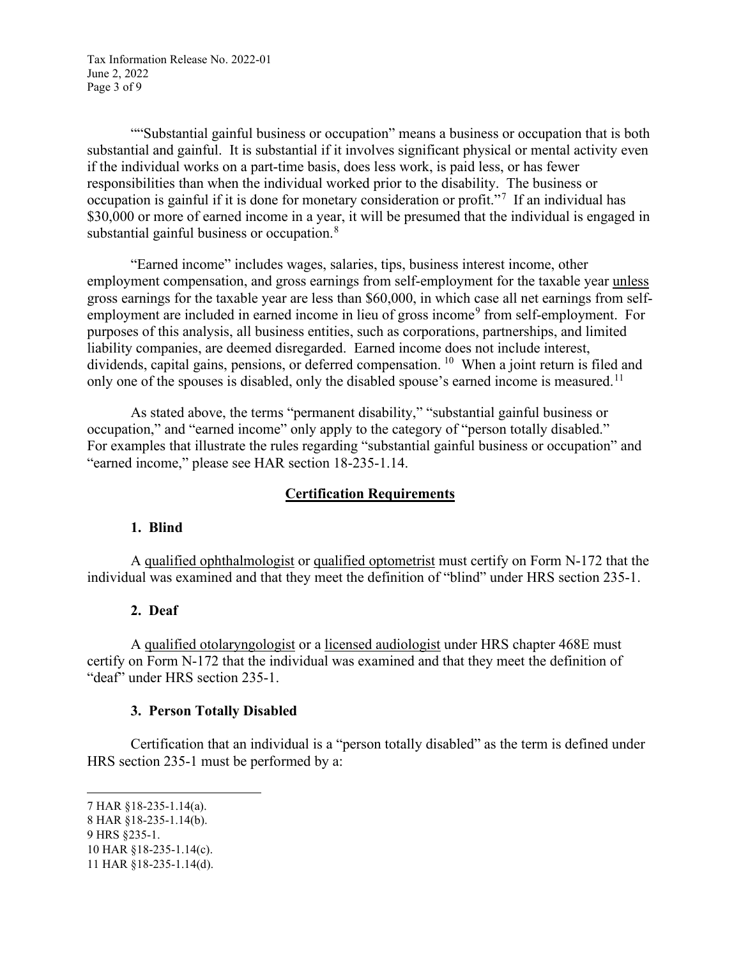Tax Information Release No. 2022-01 June 2, 2022 Page 3 of 9

""Substantial gainful business or occupation" means a business or occupation that is both substantial and gainful. It is substantial if it involves significant physical or mental activity even if the individual works on a part-time basis, does less work, is paid less, or has fewer responsibilities than when the individual worked prior to the disability. The business or occupation is gainful if it is done for monetary consideration or profit."<sup>[7](#page-2-0)</sup> If an individual has \$30,000 or more of earned income in a year, it will be presumed that the individual is engaged in substantial gainful business or occupation.<sup>[8](#page-2-1)</sup>

"Earned income" includes wages, salaries, tips, business interest income, other employment compensation, and gross earnings from self-employment for the taxable year unless gross earnings for the taxable year are less than \$60,000, in which case all net earnings from self-employment are included in earned income in lieu of gross income<sup>[9](#page-2-2)</sup> from self-employment. For purposes of this analysis, all business entities, such as corporations, partnerships, and limited liability companies, are deemed disregarded. Earned income does not include interest, dividends, capital gains, pensions, or deferred compensation. <sup>[10](#page-2-3)</sup> When a joint return is filed and only one of the spouses is disabled, only the disabled spouse's earned income is measured.<sup>[11](#page-2-4)</sup>

As stated above, the terms "permanent disability," "substantial gainful business or occupation," and "earned income" only apply to the category of "person totally disabled." For examples that illustrate the rules regarding "substantial gainful business or occupation" and "earned income," please see HAR section 18-235-1.14.

## **Certification Requirements**

#### **1. Blind**

A qualified ophthalmologist or qualified optometrist must certify on Form N-172 that the individual was examined and that they meet the definition of "blind" under HRS section 235-1.

#### **2. Deaf**

A qualified otolaryngologist or a licensed audiologist under HRS chapter 468E must certify on Form N-172 that the individual was examined and that they meet the definition of "deaf" under HRS section 235-1.

#### **3. Person Totally Disabled**

Certification that an individual is a "person totally disabled" as the term is defined under HRS section 235-1 must be performed by a:

<span id="page-2-0"></span><sup>7</sup> HAR §18-235-1.14(a).

<span id="page-2-1"></span><sup>8</sup> HAR §18-235-1.14(b).

<span id="page-2-2"></span><sup>9</sup> HRS §235-1.

<span id="page-2-3"></span><sup>10</sup> HAR §18-235-1.14(c).

<span id="page-2-4"></span><sup>11</sup> HAR §18-235-1.14(d).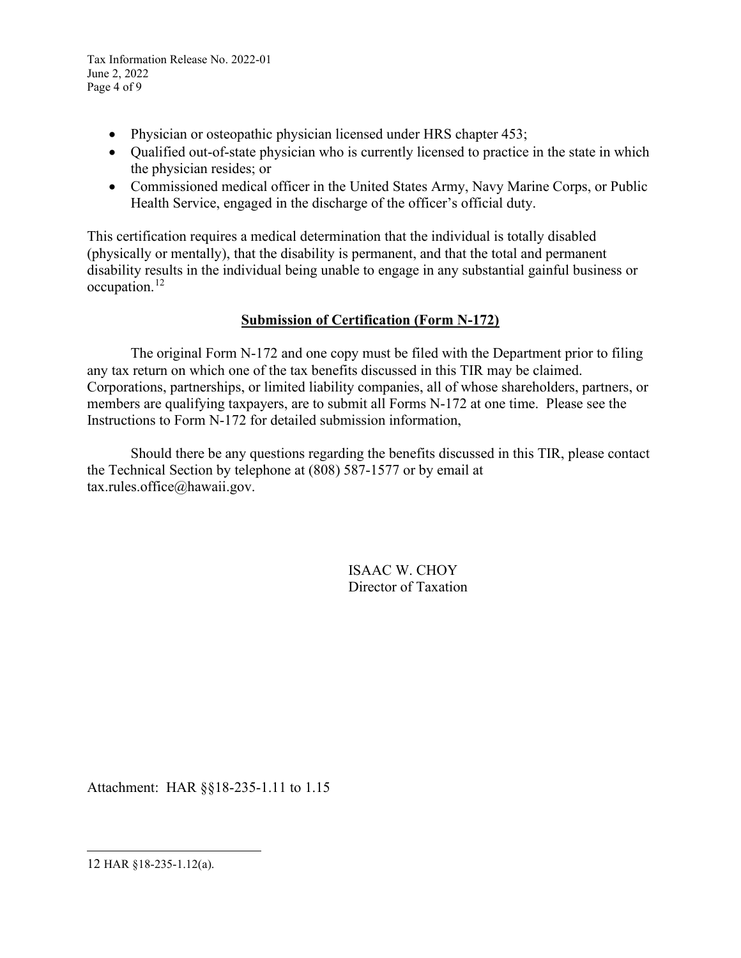Tax Information Release No. 2022-01 June 2, 2022 Page 4 of 9

- Physician or osteopathic physician licensed under HRS chapter 453;
- Qualified out-of-state physician who is currently licensed to practice in the state in which the physician resides; or
- Commissioned medical officer in the United States Army, Navy Marine Corps, or Public Health Service, engaged in the discharge of the officer's official duty.

This certification requires a medical determination that the individual is totally disabled (physically or mentally), that the disability is permanent, and that the total and permanent disability results in the individual being unable to engage in any substantial gainful business or occupation.[12](#page-3-0)

# **Submission of Certification (Form N-172)**

 The original Form N-172 and one copy must be filed with the Department prior to filing any tax return on which one of the tax benefits discussed in this TIR may be claimed. Corporations, partnerships, or limited liability companies, all of whose shareholders, partners, or members are qualifying taxpayers, are to submit all Forms N-172 at one time. Please see the Instructions to Form N-172 for detailed submission information,

Should there be any questions regarding the benefits discussed in this TIR, please contact the Technical Section by telephone at (808) 587-1577 or by email at tax.rules.office@hawaii.gov.

> ISAAC W. CHOY Director of Taxation

Attachment: HAR §§18-235-1.11 to 1.15

<span id="page-3-0"></span>12 HAR §18-235-1.12(a).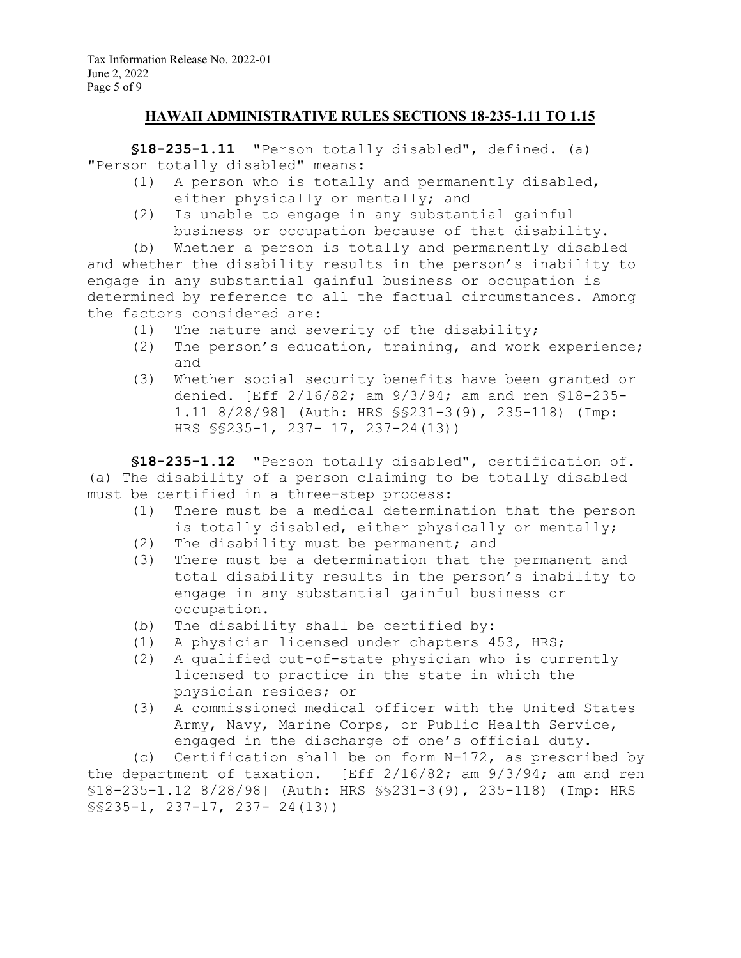## **HAWAII ADMINISTRATIVE RULES SECTIONS 18-235-1.11 TO 1.15**

**§18-235-1.11** "Person totally disabled", defined. (a) "Person totally disabled" means:

- (1) A person who is totally and permanently disabled, either physically or mentally; and
- (2) Is unable to engage in any substantial gainful business or occupation because of that disability.

(b) Whether a person is totally and permanently disabled and whether the disability results in the person's inability to engage in any substantial gainful business or occupation is determined by reference to all the factual circumstances. Among the factors considered are:

- (1) The nature and severity of the disability;
- (2) The person's education, training, and work experience; and
- (3) Whether social security benefits have been granted or denied. [Eff 2/16/82; am 9/3/94; am and ren §18-235- 1.11 8/28/98] (Auth: HRS §§231-3(9), 235-118) (Imp: HRS §§235-1, 237- 17, 237-24(13))

**§18-235-1.12** "Person totally disabled", certification of. (a) The disability of a person claiming to be totally disabled must be certified in a three-step process:

- (1) There must be a medical determination that the person is totally disabled, either physically or mentally;
- (2) The disability must be permanent; and<br>(3) There must be a determination that the
- There must be a determination that the permanent and total disability results in the person's inability to engage in any substantial gainful business or occupation.
- (b) The disability shall be certified by:
- 
- (1) A physician licensed under chapters 453, HRS;<br>(2) A qualified out-of-state physician who is cur A qualified out-of-state physician who is currently licensed to practice in the state in which the physician resides; or
- (3) A commissioned medical officer with the United States Army, Navy, Marine Corps, or Public Health Service, engaged in the discharge of one's official duty.

(c) Certification shall be on form N-172, as prescribed by the department of taxation. [Eff  $2/16/82$ ; am  $9/3/94$ ; am and ren §18-235-1.12 8/28/98] (Auth: HRS §§231-3(9), 235-118) (Imp: HRS §§235-1, 237-17, 237- 24(13))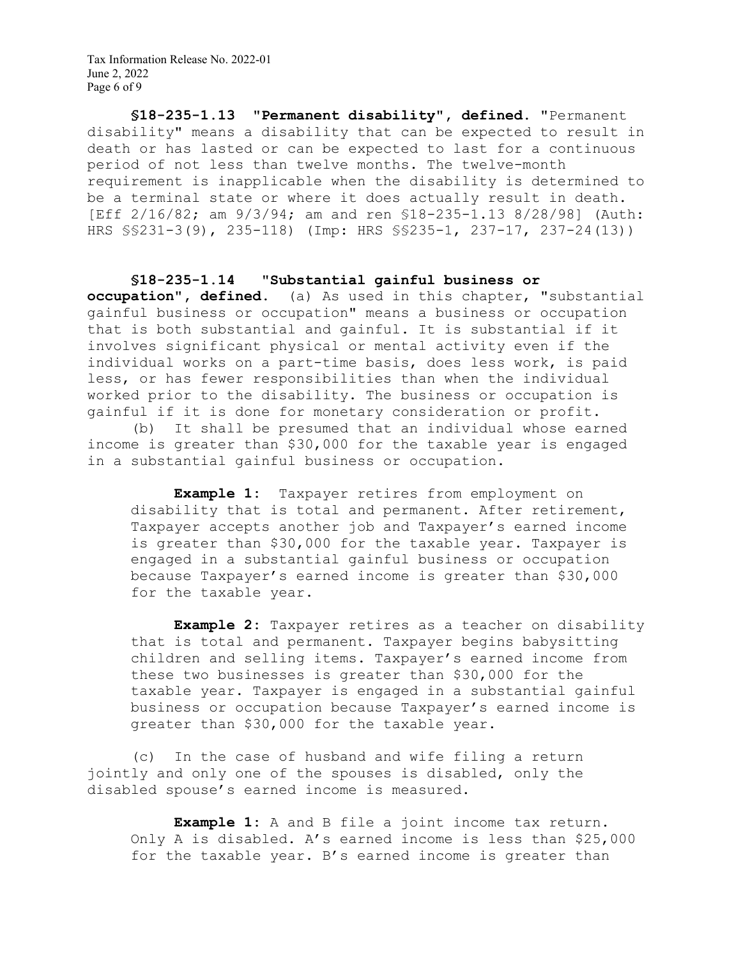Tax Information Release No. 2022-01 June 2, 2022 Page 6 of 9

**§18-235-1.13 "Permanent disability", defined.** "Permanent disability" means a disability that can be expected to result in death or has lasted or can be expected to last for a continuous period of not less than twelve months. The twelve-month requirement is inapplicable when the disability is determined to be a terminal state or where it does actually result in death. [Eff 2/16/82; am 9/3/94; am and ren §18-235-1.13 8/28/98] (Auth: HRS §§231-3(9), 235-118) (Imp: HRS §§235-1, 237-17, 237-24(13))

**§18-235-1.14 "Substantial gainful business or occupation", defined.** (a) As used in this chapter, "substantial gainful business or occupation" means a business or occupation that is both substantial and gainful. It is substantial if it involves significant physical or mental activity even if the individual works on a part-time basis, does less work, is paid less, or has fewer responsibilities than when the individual worked prior to the disability. The business or occupation is gainful if it is done for monetary consideration or profit.

(b) It shall be presumed that an individual whose earned income is greater than \$30,000 for the taxable year is engaged in a substantial gainful business or occupation.

**Example 1:** Taxpayer retires from employment on disability that is total and permanent. After retirement, Taxpayer accepts another job and Taxpayer's earned income is greater than \$30,000 for the taxable year. Taxpayer is engaged in a substantial gainful business or occupation because Taxpayer's earned income is greater than \$30,000 for the taxable year.

**Example 2:** Taxpayer retires as a teacher on disability that is total and permanent. Taxpayer begins babysitting children and selling items. Taxpayer's earned income from these two businesses is greater than \$30,000 for the taxable year. Taxpayer is engaged in a substantial gainful business or occupation because Taxpayer's earned income is greater than \$30,000 for the taxable year.

(c) In the case of husband and wife filing a return jointly and only one of the spouses is disabled, only the disabled spouse's earned income is measured.

**Example 1:** A and B file a joint income tax return. Only A is disabled. A's earned income is less than \$25,000 for the taxable year. B's earned income is greater than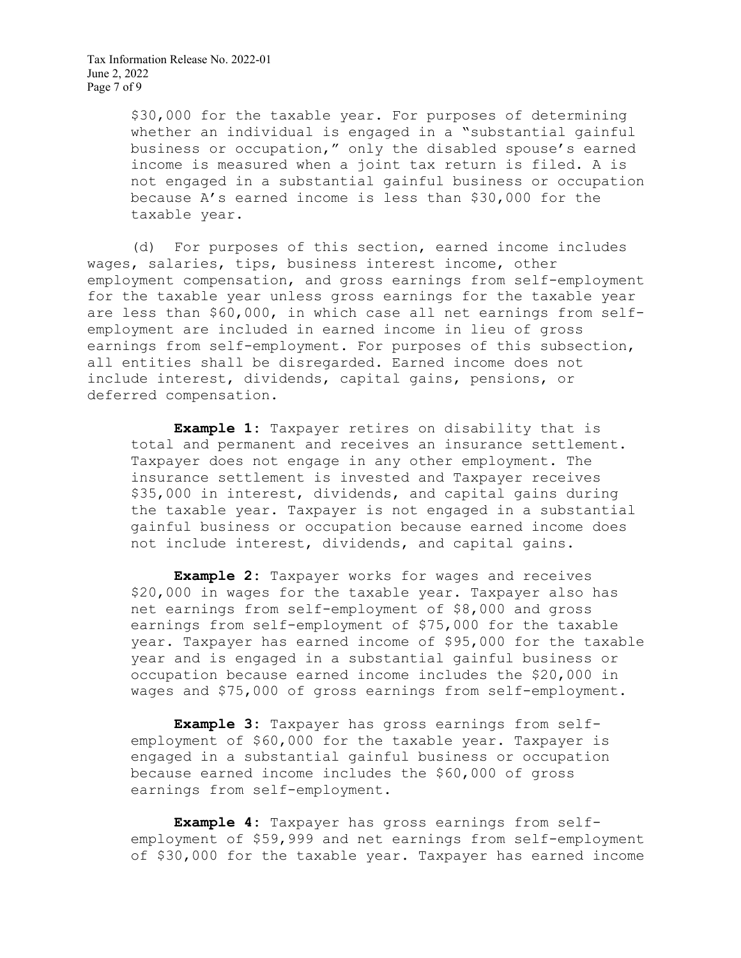Tax Information Release No. 2022-01 June 2, 2022 Page 7 of 9

> \$30,000 for the taxable year. For purposes of determining whether an individual is engaged in a "substantial gainful business or occupation," only the disabled spouse's earned income is measured when a joint tax return is filed. A is not engaged in a substantial gainful business or occupation because A's earned income is less than \$30,000 for the taxable year.

(d) For purposes of this section, earned income includes wages, salaries, tips, business interest income, other employment compensation, and gross earnings from self-employment for the taxable year unless gross earnings for the taxable year are less than \$60,000, in which case all net earnings from selfemployment are included in earned income in lieu of gross earnings from self-employment. For purposes of this subsection, all entities shall be disregarded. Earned income does not include interest, dividends, capital gains, pensions, or deferred compensation.

**Example 1:** Taxpayer retires on disability that is total and permanent and receives an insurance settlement. Taxpayer does not engage in any other employment. The insurance settlement is invested and Taxpayer receives \$35,000 in interest, dividends, and capital gains during the taxable year. Taxpayer is not engaged in a substantial gainful business or occupation because earned income does not include interest, dividends, and capital gains.

**Example 2:** Taxpayer works for wages and receives \$20,000 in wages for the taxable year. Taxpayer also has net earnings from self-employment of \$8,000 and gross earnings from self-employment of \$75,000 for the taxable year. Taxpayer has earned income of \$95,000 for the taxable year and is engaged in a substantial gainful business or occupation because earned income includes the \$20,000 in wages and \$75,000 of gross earnings from self-employment.

**Example 3:** Taxpayer has gross earnings from selfemployment of \$60,000 for the taxable year. Taxpayer is engaged in a substantial gainful business or occupation because earned income includes the \$60,000 of gross earnings from self-employment.

**Example 4:** Taxpayer has gross earnings from selfemployment of \$59,999 and net earnings from self-employment of \$30,000 for the taxable year. Taxpayer has earned income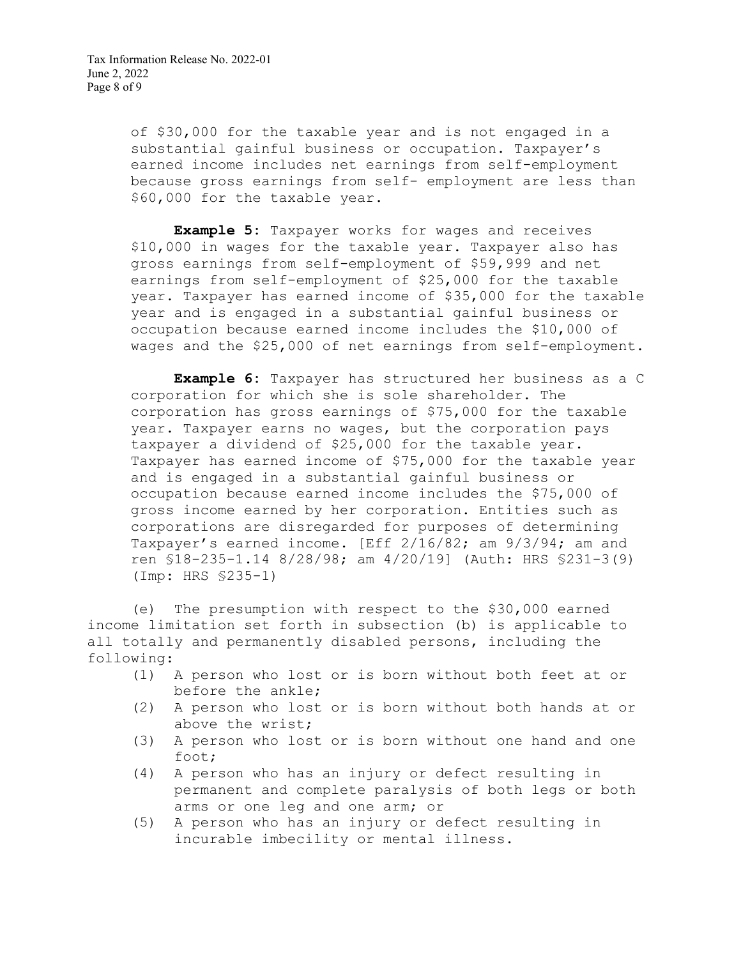Tax Information Release No. 2022-01 June 2, 2022 Page 8 of 9

> of \$30,000 for the taxable year and is not engaged in a substantial gainful business or occupation. Taxpayer's earned income includes net earnings from self-employment because gross earnings from self- employment are less than \$60,000 for the taxable year.

**Example 5:** Taxpayer works for wages and receives \$10,000 in wages for the taxable year. Taxpayer also has gross earnings from self-employment of \$59,999 and net earnings from self-employment of \$25,000 for the taxable year. Taxpayer has earned income of \$35,000 for the taxable year and is engaged in a substantial gainful business or occupation because earned income includes the \$10,000 of wages and the \$25,000 of net earnings from self-employment.

**Example 6:** Taxpayer has structured her business as a C corporation for which she is sole shareholder. The corporation has gross earnings of \$75,000 for the taxable year. Taxpayer earns no wages, but the corporation pays taxpayer a dividend of \$25,000 for the taxable year. Taxpayer has earned income of \$75,000 for the taxable year and is engaged in a substantial gainful business or occupation because earned income includes the \$75,000 of gross income earned by her corporation. Entities such as corporations are disregarded for purposes of determining Taxpayer's earned income. [Eff 2/16/82; am 9/3/94; am and ren §18-235-1.14 8/28/98; am 4/20/19] (Auth: HRS §231-3(9) (Imp: HRS §235-1)

(e) The presumption with respect to the \$30,000 earned income limitation set forth in subsection (b) is applicable to all totally and permanently disabled persons, including the following:

- (1) A person who lost or is born without both feet at or before the ankle;
- (2) A person who lost or is born without both hands at or above the wrist;
- (3) A person who lost or is born without one hand and one foot;
- (4) A person who has an injury or defect resulting in permanent and complete paralysis of both legs or both arms or one leg and one arm; or
- (5) A person who has an injury or defect resulting in incurable imbecility or mental illness.